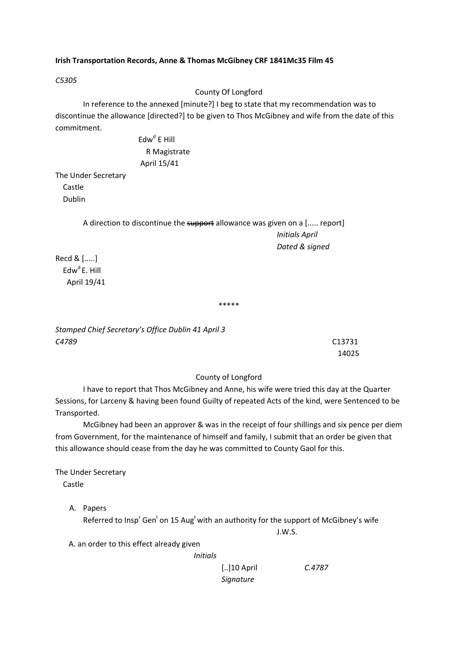# **Irish Transportation Records, Anne & Thomas McGibney CRF 1841Mc35 Film 45**

*C5305*

County Of Longford

In reference to the annexed [minute?] I beg to state that my recommendation was to discontinue the allowance [directed?] to be given to Thos McGibney and wife from the date of this commitment.

> $Edw<sup>d</sup>$  E Hill R Magistrate April 15/41

The Under Secretary Castle Dublin

> A direction to discontinue the support allowance was given on a [..... report] *Initials April Dated & signed*

Recd & [.....]  $Edw<sup>d</sup> E. Hill$ April 19/41

\*\*\*\*\*

*Stamped Chief Secretary's Office Dublin 41 April 3 C4789*  C13731

14025

# County of Longford

I have to report that Thos McGibney and Anne, his wife were tried this day at the Quarter Sessions, for Larceny & having been found Guilty of repeated Acts of the kind, were Sentenced to be Transported.

McGibney had been an approver & was in the receipt of four shillings and six pence per diem from Government, for the maintenance of himself and family, I submit that an order be given that this allowance should cease from the day he was committed to County Gaol for this.

The Under Secretary Castle

A. Papers

Referred to Insp<sup>r</sup> Gen<sup>1</sup> on 15 Aug<sup>t</sup> with an authority for the support of McGibney's wife

J.W.S.

A. an order to this effect already given

*Initials*

[..]10 April *C.4787*

# *Signature*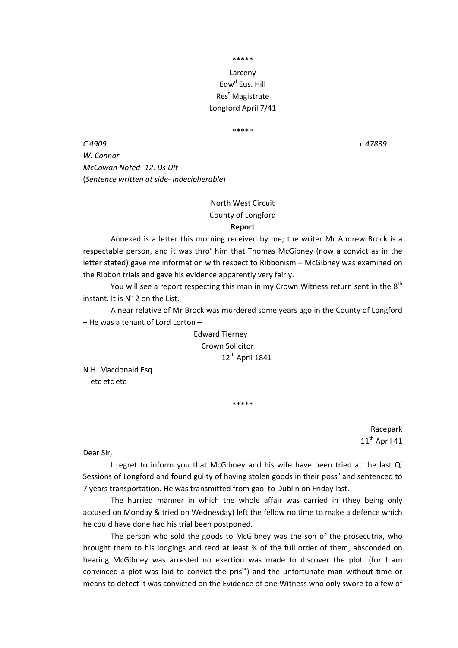\*\*\*\*\*

# Larceny Edw<sup>d</sup> Eus. Hill Res<sup>t</sup> Magistrate Longford April 7/41

#### \*\*\*\*\*

*C 4909 c 47839 W. Connor McCowan Noted‐ 12. Ds Ult* (*Sentence written at side‐ indecipherable*)

# North West Circuit County of Longford

### **Report**

Annexed is a letter this morning received by me; the writer Mr Andrew Brock is a respectable person, and it was thro' him that Thomas McGibney (now a convict as in the letter stated) gave me information with respect to Ribbonism – McGibney was examined on the Ribbon trials and gave his evidence apparently very fairly.

You will see a report respecting this man in my Crown Witness return sent in the 8<sup>th</sup> instant. It is  $N^{\circ}$  2 on the List.

A near relative of Mr Brock was murdered some years ago in the County of Longford – He was a tenant of Lord Lorton –

> Edward Tierney Crown Solicitor 12<sup>th</sup> April 1841

N.H. Macdonald Esq etc etc etc

> Racepark 11<sup>th</sup> April 41

Dear Sir,

I regret to inform you that McGibney and his wife have been tried at the last  $Q^r$ Sessions of Longford and found guilty of having stolen goods in their poss<sup>n</sup> and sentenced to 7 years transportation. He was transmitted from gaol to Dublin on Friday last.

\*\*\*\*\*

The hurried manner in which the whole affair was carried in (they being only accused on Monday & tried on Wednesday) left the fellow no time to make a defence which he could have done had his trial been postponed.

The person who sold the goods to McGibney was the son of the prosecutrix, who brought them to his lodgings and recd at least ¾ of the full order of them, absconded on hearing McGibney was arrested no exertion was made to discover the plot. (for I am convinced a plot was laid to convict the pris $n^{\text{nr}}$ ) and the unfortunate man without time or means to detect it was convicted on the Evidence of one Witness who only swore to a few of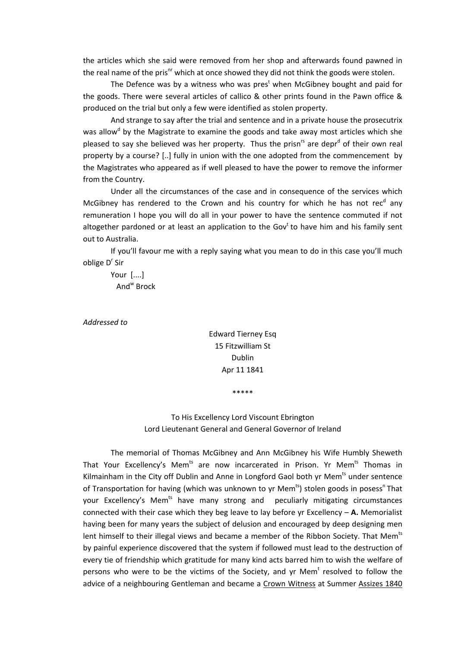the articles which she said were removed from her shop and afterwards found pawned in the real name of the pris<sup>nr</sup> which at once showed they did not think the goods were stolen.

The Defence was by a witness who was pres<sup>t</sup> when McGibney bought and paid for the goods. There were several articles of callico & other prints found in the Pawn office & produced on the trial but only a few were identified as stolen property.

And strange to say after the trial and sentence and in a private house the prosecutrix was allow<sup>d</sup> by the Magistrate to examine the goods and take away most articles which she pleased to say she believed was her property. Thus the prisn<sup>rs</sup> are depr<sup>d</sup> of their own real property by a course? [..] fully in union with the one adopted from the commencement by the Magistrates who appeared as if well pleased to have the power to remove the informer from the Country.

Under all the circumstances of the case and in consequence of the services which McGibney has rendered to the Crown and his country for which he has not rec<sup>d</sup> any remuneration I hope you will do all in your power to have the sentence commuted if not altogether pardoned or at least an application to the Gov<sup>t</sup> to have him and his family sent out to Australia.

If you'll favour me with a reply saying what you mean to do in this case you'll much oblige D' Sir

Your [....] Andw Brock

*Addressed to*

Edward Tierney Esq 15 Fitzwilliam St Dublin Apr 11 1841

\*\*\*\*\*

To His Excellency Lord Viscount Ebrington Lord Lieutenant General and General Governor of Ireland

The memorial of Thomas McGibney and Ann McGibney his Wife Humbly Sheweth That Your Excellency's Mem<sup>ts</sup> are now incarcerated in Prison. Yr Mem<sup>ts</sup> Thomas in Kilmainham in the City off Dublin and Anne in Longford Gaol both yr Mem<sup>ts</sup> under sentence of Transportation for having (which was unknown to yr Mem<sup>ts</sup>) stolen goods in posess<sup>n</sup> That your Excellency's Mem<sup>ts</sup> have many strong and peculiarly mitigating circumstances connected with their case which they beg leave to lay before yr Excellency – **A.** Memorialist having been for many years the subject of delusion and encouraged by deep designing men lent himself to their illegal views and became a member of the Ribbon Society. That Mem<sup>ts</sup> by painful experience discovered that the system if followed must lead to the destruction of every tie of friendship which gratitude for many kind acts barred him to wish the welfare of persons who were to be the victims of the Society, and yr Mem<sup>t</sup> resolved to follow the advice of a neighbouring Gentleman and became a Crown Witness at Summer Assizes 1840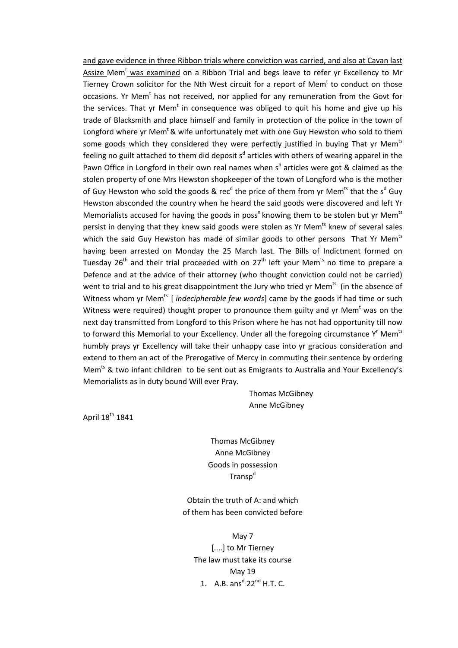and gave evidence in three Ribbon trials where conviction was carried, and also at Cavan last Assize Mem<sup>t</sup> was examined on a Ribbon Trial and begs leave to refer yr Excellency to Mr Tierney Crown solicitor for the Nth West circuit for a report of Mem $<sup>t</sup>$  to conduct on those</sup> occasions. Yr Mem<sup>t</sup> has not received, nor applied for any remuneration from the Govt for the services. That yr Mem<sup>t</sup> in consequence was obliged to quit his home and give up his trade of Blacksmith and place himself and family in protection of the police in the town of Longford where yr Mem<sup>t</sup> & wife unfortunately met with one Guy Hewston who sold to them some goods which they considered they were perfectly justified in buying That yr Mem<sup>ts</sup> feeling no guilt attached to them did deposit s<sup>d</sup> articles with others of wearing apparel in the Pawn Office in Longford in their own real names when s<sup>d</sup> articles were got & claimed as the stolen property of one Mrs Hewston shopkeeper of the town of Longford who is the mother of Guy Hewston who sold the goods & rec<sup>d</sup> the price of them from yr Mem<sup>ts</sup> that the s<sup>d</sup> Guy Hewston absconded the country when he heard the said goods were discovered and left Yr Memorialists accused for having the goods in poss<sup>n</sup> knowing them to be stolen but yr Mem<sup>ts</sup> persist in denying that they knew said goods were stolen as Yr Mem<sup>ts</sup> knew of several sales which the said Guy Hewston has made of similar goods to other persons That Yr Mem<sup>ts</sup> having been arrested on Monday the 25 March last. The Bills of Indictment formed on Tuesday 26<sup>th</sup> and their trial proceeded with on  $27<sup>th</sup>$  left your Mem<sup>ts</sup> no time to prepare a Defence and at the advice of their attorney (who thought conviction could not be carried) went to trial and to his great disappointment the Jury who tried yr Mem<sup>ts</sup> (in the absence of Witness whom yr Mem<sup>ts</sup> [*indecipherable few words*] came by the goods if had time or such Witness were required) thought proper to pronounce them guilty and yr Mem<sup>t</sup> was on the next day transmitted from Longford to this Prison where he has not had opportunity till now to forward this Memorial to your Excellency. Under all the foregoing circumstance Y<sup>r</sup> Mem<sup>ts</sup> humbly prays yr Excellency will take their unhappy case into yr gracious consideration and extend to them an act of the Prerogative of Mercy in commuting their sentence by ordering Mem<sup>ts</sup> & two infant children to be sent out as Emigrants to Australia and Your Excellency's Memorialists as in duty bound Will ever Pray.

> Thomas McGibney Anne McGibney

April 18<sup>th</sup> 1841

Thomas McGibney Anne McGibney Goods in possession Transp<sup>d</sup>

Obtain the truth of A: and which of them has been convicted before

May 7 [....] to Mr Tierney The law must take its course May 19 1. A.B. ans<sup>d</sup>  $22<sup>nd</sup>$  H.T. C.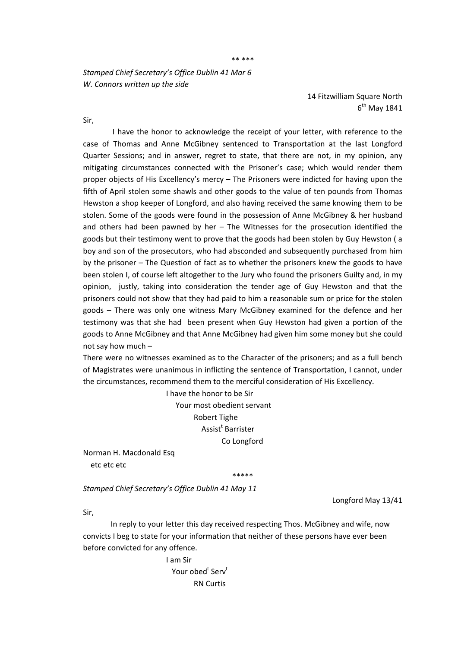\*\* \*\*\*

*Stamped Chief Secretary's Office Dublin 41 Mar 6 W. Connors written up the side*

> 14 Fitzwilliam Square North  $6<sup>th</sup>$  May 1841

Sir,

 I have the honor to acknowledge the receipt of your letter, with reference to the case of Thomas and Anne McGibney sentenced to Transportation at the last Longford Quarter Sessions; and in answer, regret to state, that there are not, in my opinion, any mitigating circumstances connected with the Prisoner's case; which would render them proper objects of His Excellency's mercy – The Prisoners were indicted for having upon the fifth of April stolen some shawls and other goods to the value of ten pounds from Thomas Hewston a shop keeper of Longford, and also having received the same knowing them to be stolen. Some of the goods were found in the possession of Anne McGibney & her husband and others had been pawned by her  $-$  The Witnesses for the prosecution identified the goods but their testimony went to prove that the goods had been stolen by Guy Hewston ( a boy and son of the prosecutors, who had absconded and subsequently purchased from him by the prisoner – The Question of fact as to whether the prisoners knew the goods to have been stolen I, of course left altogether to the Jury who found the prisoners Guilty and, in my opinion, justly, taking into consideration the tender age of Guy Hewston and that the prisoners could not show that they had paid to him a reasonable sum or price for the stolen goods – There was only one witness Mary McGibney examined for the defence and her testimony was that she had been present when Guy Hewston had given a portion of the goods to Anne McGibney and that Anne McGibney had given him some money but she could not say how much –

There were no witnesses examined as to the Character of the prisoners; and as a full bench of Magistrates were unanimous in inflicting the sentence of Transportation, I cannot, under the circumstances, recommend them to the merciful consideration of His Excellency.

 I have the honor to be Sir Your most obedient servant Robert Tighe en and a Santa Salarister Assist<sup>t</sup> Barrister Co Longford

Norman H. Macdonald Esq etc etc etc

\*\*\*\*\*

*Stamped Chief Secretary's Office Dublin 41 May 11*

Longford May 13/41

Sir,

In reply to your letter this day received respecting Thos. McGibney and wife, now convicts I beg to state for your information that neither of these persons have ever been before convicted for any offence.

 I am Sir **Product of Service Service Service Service Service Service Service Service Service Service Service Service Serv** RN Curtis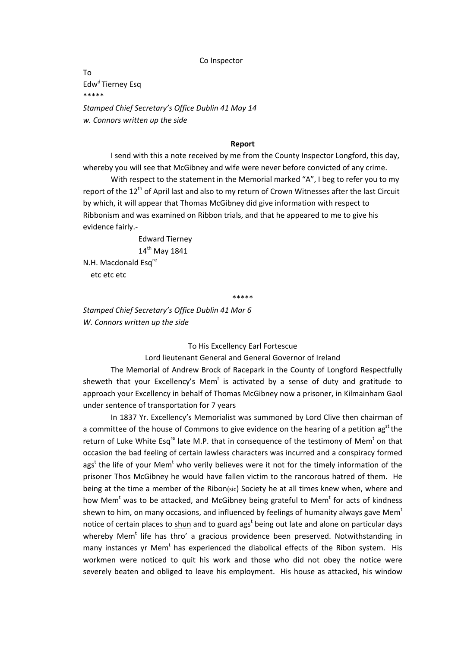#### Co Inspector

To Edw<sup>d</sup> Tierney Esq \*\*\*\*\* *Stamped Chief Secretary's Office Dublin 41 May 14 w. Connors written up the side*

#### **Report**

I send with this a note received by me from the County Inspector Longford, this day, whereby you will see that McGibney and wife were never before convicted of any crime.

With respect to the statement in the Memorial marked "A", I beg to refer you to my report of the 12<sup>th</sup> of April last and also to my return of Crown Witnesses after the last Circuit by which, it will appear that Thomas McGibney did give information with respect to Ribbonism and was examined on Ribbon trials, and that he appeared to me to give his evidence fairly.‐

> Edward Tierney 14<sup>th</sup> May 1841

N.H. Macdonald Esq<sup>re</sup> etc etc etc

\*\*\*\*\*

*Stamped Chief Secretary's Office Dublin 41 Mar 6 W. Connors written up the side*

To His Excellency Earl Fortescue

Lord lieutenant General and General Governor of Ireland

The Memorial of Andrew Brock of Racepark in the County of Longford Respectfully sheweth that your Excellency's Mem<sup>t</sup> is activated by a sense of duty and gratitude to approach your Excellency in behalf of Thomas McGibney now a prisoner, in Kilmainham Gaol under sentence of transportation for 7 years

In 1837 Yr. Excellency's Memorialist was summoned by Lord Clive then chairman of a committee of the house of Commons to give evidence on the hearing of a petition  $\mathsf{a}\mathsf{g}^{\mathsf{st}}$  the return of Luke White Esq<sup>re</sup> late M.P. that in consequence of the testimony of Mem<sup>t</sup> on that occasion the bad feeling of certain lawless characters was incurred and a conspiracy formed ags<sup>t</sup> the life of your Mem<sup>t</sup> who verily believes were it not for the timely information of the prisoner Thos McGibney he would have fallen victim to the rancorous hatred of them. He being at the time a member of the Ribon(sic) Society he at all times knew when, where and how Mem<sup>t</sup> was to be attacked, and McGibney being grateful to Mem<sup>t</sup> for acts of kindness shewn to him, on many occasions, and influenced by feelings of humanity always gave Mem<sup>t</sup> notice of certain places to shun and to guard ags<sup>t</sup> being out late and alone on particular days whereby Mem<sup>t</sup> life has thro' a gracious providence been preserved. Notwithstanding in many instances yr Mem<sup>t</sup> has experienced the diabolical effects of the Ribon system. His workmen were noticed to quit his work and those who did not obey the notice were severely beaten and obliged to leave his employment. His house as attacked, his window